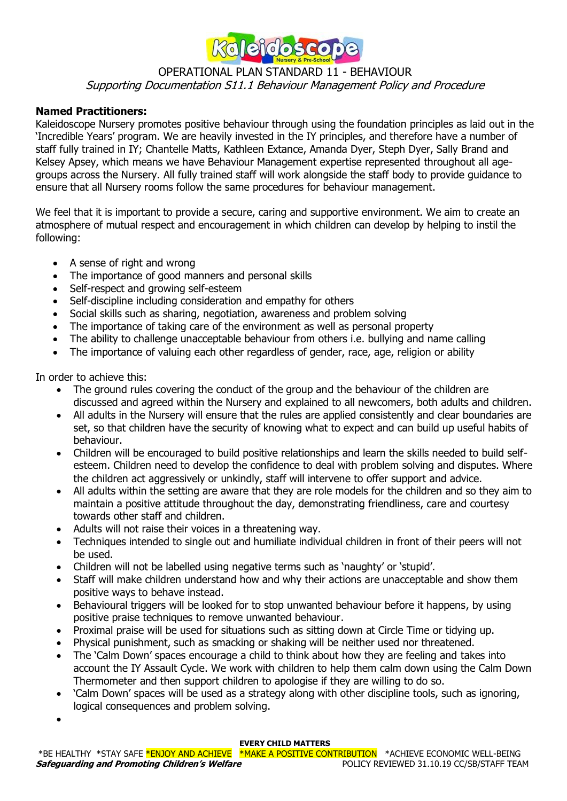

## OPERATIONAL PLAN STANDARD 11 - BEHAVIOUR Supporting Documentation S11.1 Behaviour Management Policy and Procedure

### **Named Practitioners:**

Kaleidoscope Nursery promotes positive behaviour through using the foundation principles as laid out in the 'Incredible Years' program. We are heavily invested in the IY principles, and therefore have a number of staff fully trained in IY; Chantelle Matts, Kathleen Extance, Amanda Dyer, Steph Dyer, Sally Brand and Kelsey Apsey, which means we have Behaviour Management expertise represented throughout all agegroups across the Nursery. All fully trained staff will work alongside the staff body to provide guidance to ensure that all Nursery rooms follow the same procedures for behaviour management.

We feel that it is important to provide a secure, caring and supportive environment. We aim to create an atmosphere of mutual respect and encouragement in which children can develop by helping to instil the following:

- A sense of right and wrong
- The importance of good manners and personal skills
- Self-respect and growing self-esteem
- Self-discipline including consideration and empathy for others
- Social skills such as sharing, negotiation, awareness and problem solving
- The importance of taking care of the environment as well as personal property
- The ability to challenge unacceptable behaviour from others i.e. bullying and name calling
- The importance of valuing each other regardless of gender, race, age, religion or ability

In order to achieve this:

- The ground rules covering the conduct of the group and the behaviour of the children are discussed and agreed within the Nursery and explained to all newcomers, both adults and children.
- All adults in the Nursery will ensure that the rules are applied consistently and clear boundaries are set, so that children have the security of knowing what to expect and can build up useful habits of behaviour.
- Children will be encouraged to build positive relationships and learn the skills needed to build selfesteem. Children need to develop the confidence to deal with problem solving and disputes. Where the children act aggressively or unkindly, staff will intervene to offer support and advice.
- All adults within the setting are aware that they are role models for the children and so they aim to maintain a positive attitude throughout the day, demonstrating friendliness, care and courtesy towards other staff and children.
- Adults will not raise their voices in a threatening way.
- Techniques intended to single out and humiliate individual children in front of their peers will not be used.
- Children will not be labelled using negative terms such as 'naughty' or 'stupid'.
- Staff will make children understand how and why their actions are unacceptable and show them positive ways to behave instead.
- Behavioural triggers will be looked for to stop unwanted behaviour before it happens, by using positive praise techniques to remove unwanted behaviour.
- Proximal praise will be used for situations such as sitting down at Circle Time or tidying up.
- Physical punishment, such as smacking or shaking will be neither used nor threatened.
- The 'Calm Down' spaces encourage a child to think about how they are feeling and takes into account the IY Assault Cycle. We work with children to help them calm down using the Calm Down Thermometer and then support children to apologise if they are willing to do so.
- 'Calm Down' spaces will be used as a strategy along with other discipline tools, such as ignoring, logical consequences and problem solving.

#### **EVERY CHILD MATTERS**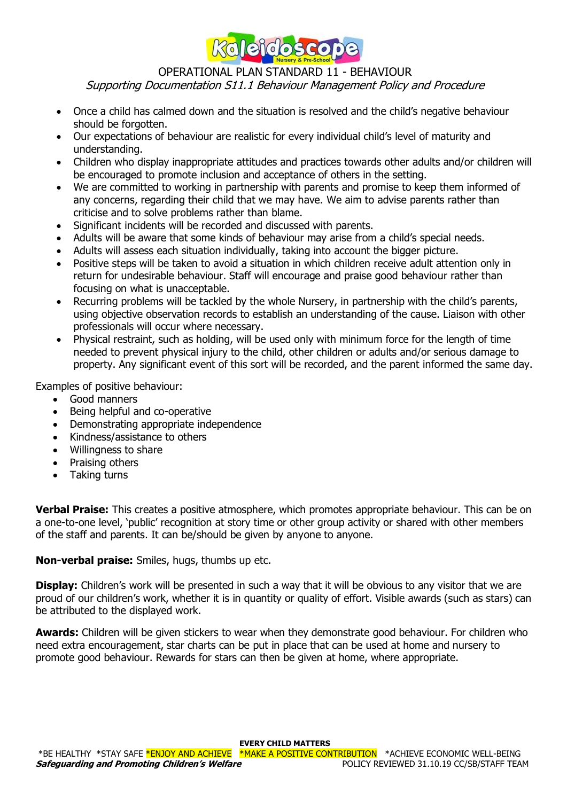

# OPERATIONAL PLAN STANDARD 11 - BEHAVIOUR

Supporting Documentation S11.1 Behaviour Management Policy and Procedure

- Once a child has calmed down and the situation is resolved and the child's negative behaviour should be forgotten.
- Our expectations of behaviour are realistic for every individual child's level of maturity and understanding.
- Children who display inappropriate attitudes and practices towards other adults and/or children will be encouraged to promote inclusion and acceptance of others in the setting.
- We are committed to working in partnership with parents and promise to keep them informed of any concerns, regarding their child that we may have. We aim to advise parents rather than criticise and to solve problems rather than blame.
- Significant incidents will be recorded and discussed with parents.
- Adults will be aware that some kinds of behaviour may arise from a child's special needs.
- Adults will assess each situation individually, taking into account the bigger picture.
- Positive steps will be taken to avoid a situation in which children receive adult attention only in return for undesirable behaviour. Staff will encourage and praise good behaviour rather than focusing on what is unacceptable.
- Recurring problems will be tackled by the whole Nursery, in partnership with the child's parents, using objective observation records to establish an understanding of the cause. Liaison with other professionals will occur where necessary.
- Physical restraint, such as holding, will be used only with minimum force for the length of time needed to prevent physical injury to the child, other children or adults and/or serious damage to property. Any significant event of this sort will be recorded, and the parent informed the same day.

Examples of positive behaviour:

- Good manners
- Being helpful and co-operative
- Demonstrating appropriate independence
- Kindness/assistance to others
- Willingness to share
- Praising others
- Taking turns

**Verbal Praise:** This creates a positive atmosphere, which promotes appropriate behaviour. This can be on a one-to-one level, 'public' recognition at story time or other group activity or shared with other members of the staff and parents. It can be/should be given by anyone to anyone.

**Non-verbal praise:** Smiles, hugs, thumbs up etc.

**Display:** Children's work will be presented in such a way that it will be obvious to any visitor that we are proud of our children's work, whether it is in quantity or quality of effort. Visible awards (such as stars) can be attributed to the displayed work.

**Awards:** Children will be given stickers to wear when they demonstrate good behaviour. For children who need extra encouragement, star charts can be put in place that can be used at home and nursery to promote good behaviour. Rewards for stars can then be given at home, where appropriate.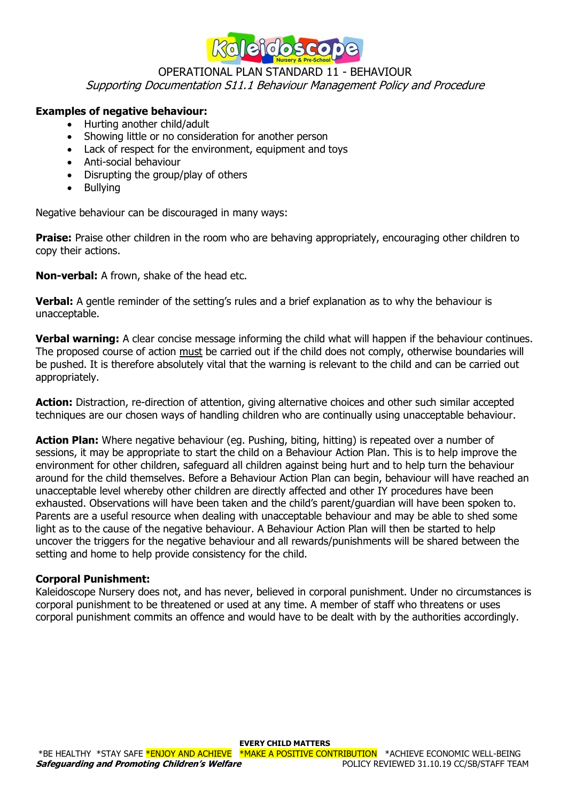

### OPERATIONAL PLAN STANDARD 11 - BEHAVIOUR Supporting Documentation S11.1 Behaviour Management Policy and Procedure

### **Examples of negative behaviour:**

- Hurting another child/adult
- Showing little or no consideration for another person
- Lack of respect for the environment, equipment and toys
- Anti-social behaviour
- Disrupting the group/play of others
- Bullying

Negative behaviour can be discouraged in many ways:

**Praise:** Praise other children in the room who are behaving appropriately, encouraging other children to copy their actions.

**Non-verbal:** A frown, shake of the head etc.

**Verbal:** A gentle reminder of the setting's rules and a brief explanation as to why the behaviour is unacceptable.

**Verbal warning:** A clear concise message informing the child what will happen if the behaviour continues. The proposed course of action must be carried out if the child does not comply, otherwise boundaries will be pushed. It is therefore absolutely vital that the warning is relevant to the child and can be carried out appropriately.

**Action:** Distraction, re-direction of attention, giving alternative choices and other such similar accepted techniques are our chosen ways of handling children who are continually using unacceptable behaviour.

**Action Plan:** Where negative behaviour (eg. Pushing, biting, hitting) is repeated over a number of sessions, it may be appropriate to start the child on a Behaviour Action Plan. This is to help improve the environment for other children, safeguard all children against being hurt and to help turn the behaviour around for the child themselves. Before a Behaviour Action Plan can begin, behaviour will have reached an unacceptable level whereby other children are directly affected and other IY procedures have been exhausted. Observations will have been taken and the child's parent/guardian will have been spoken to. Parents are a useful resource when dealing with unacceptable behaviour and may be able to shed some light as to the cause of the negative behaviour. A Behaviour Action Plan will then be started to help uncover the triggers for the negative behaviour and all rewards/punishments will be shared between the setting and home to help provide consistency for the child.

#### **Corporal Punishment:**

Kaleidoscope Nursery does not, and has never, believed in corporal punishment. Under no circumstances is corporal punishment to be threatened or used at any time. A member of staff who threatens or uses corporal punishment commits an offence and would have to be dealt with by the authorities accordingly.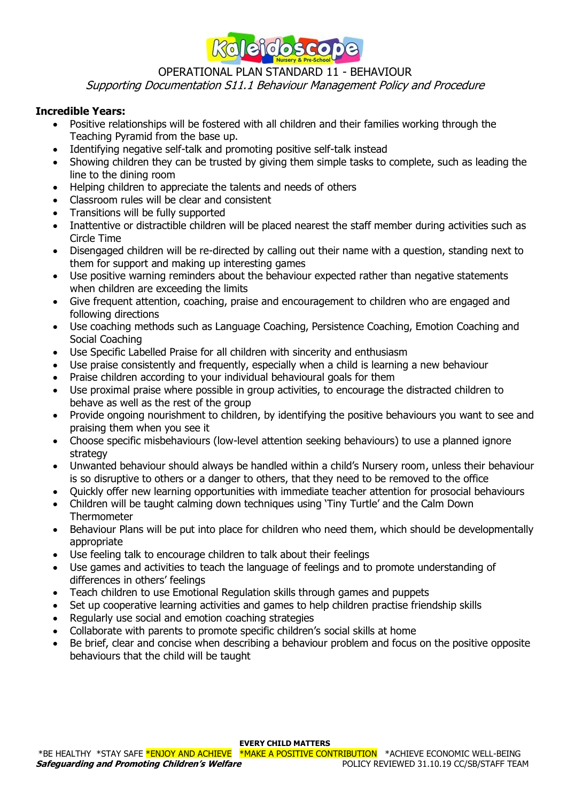

## OPERATIONAL PLAN STANDARD 11 - BEHAVIOUR

Supporting Documentation S11.1 Behaviour Management Policy and Procedure

### **Incredible Years:**

- Positive relationships will be fostered with all children and their families working through the Teaching Pyramid from the base up.
- Identifying negative self-talk and promoting positive self-talk instead
- Showing children they can be trusted by giving them simple tasks to complete, such as leading the line to the dining room
- Helping children to appreciate the talents and needs of others
- Classroom rules will be clear and consistent
- Transitions will be fully supported
- Inattentive or distractible children will be placed nearest the staff member during activities such as Circle Time
- Disengaged children will be re-directed by calling out their name with a question, standing next to them for support and making up interesting games
- Use positive warning reminders about the behaviour expected rather than negative statements when children are exceeding the limits
- Give frequent attention, coaching, praise and encouragement to children who are engaged and following directions
- Use coaching methods such as Language Coaching, Persistence Coaching, Emotion Coaching and Social Coaching
- Use Specific Labelled Praise for all children with sincerity and enthusiasm
- Use praise consistently and frequently, especially when a child is learning a new behaviour
- Praise children according to your individual behavioural goals for them
- Use proximal praise where possible in group activities, to encourage the distracted children to behave as well as the rest of the group
- Provide ongoing nourishment to children, by identifying the positive behaviours you want to see and praising them when you see it
- Choose specific misbehaviours (low-level attention seeking behaviours) to use a planned ignore strategy
- Unwanted behaviour should always be handled within a child's Nursery room, unless their behaviour is so disruptive to others or a danger to others, that they need to be removed to the office
- Quickly offer new learning opportunities with immediate teacher attention for prosocial behaviours
- Children will be taught calming down techniques using 'Tiny Turtle' and the Calm Down **Thermometer**
- Behaviour Plans will be put into place for children who need them, which should be developmentally appropriate
- Use feeling talk to encourage children to talk about their feelings
- Use games and activities to teach the language of feelings and to promote understanding of differences in others' feelings
- Teach children to use Emotional Regulation skills through games and puppets
- Set up cooperative learning activities and games to help children practise friendship skills
- Regularly use social and emotion coaching strategies
- Collaborate with parents to promote specific children's social skills at home
- Be brief, clear and concise when describing a behaviour problem and focus on the positive opposite behaviours that the child will be taught